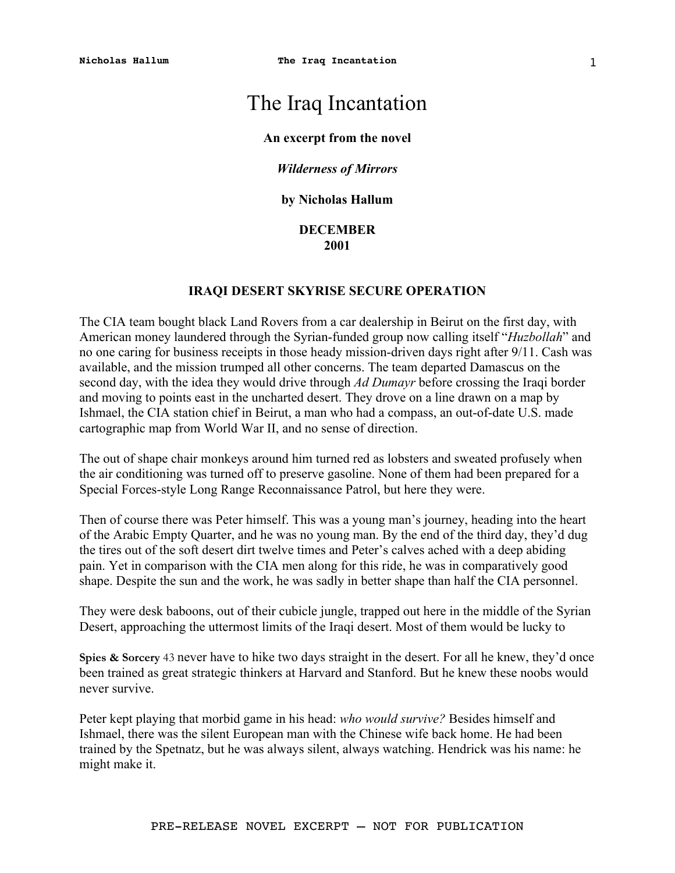# The Iraq Incantation

### **An excerpt from the novel**

## *Wilderness of Mirrors*

## **by Nicholas Hallum**

## **DECEMBER 2001**

## **IRAQI DESERT SKYRISE SECURE OPERATION**

The CIA team bought black Land Rovers from a car dealership in Beirut on the first day, with American money laundered through the Syrian-funded group now calling itself "*Huzbollah*" and no one caring for business receipts in those heady mission-driven days right after 9/11. Cash was available, and the mission trumped all other concerns. The team departed Damascus on the second day, with the idea they would drive through *Ad Dumayr* before crossing the Iraqi border and moving to points east in the uncharted desert. They drove on a line drawn on a map by Ishmael, the CIA station chief in Beirut, a man who had a compass, an out-of-date U.S. made cartographic map from World War II, and no sense of direction.

The out of shape chair monkeys around him turned red as lobsters and sweated profusely when the air conditioning was turned off to preserve gasoline. None of them had been prepared for a Special Forces-style Long Range Reconnaissance Patrol, but here they were.

Then of course there was Peter himself. This was a young man's journey, heading into the heart of the Arabic Empty Quarter, and he was no young man. By the end of the third day, they'd dug the tires out of the soft desert dirt twelve times and Peter's calves ached with a deep abiding pain. Yet in comparison with the CIA men along for this ride, he was in comparatively good shape. Despite the sun and the work, he was sadly in better shape than half the CIA personnel.

They were desk baboons, out of their cubicle jungle, trapped out here in the middle of the Syrian Desert, approaching the uttermost limits of the Iraqi desert. Most of them would be lucky to

**Spies & Sorcery** 43 never have to hike two days straight in the desert. For all he knew, they'd once been trained as great strategic thinkers at Harvard and Stanford. But he knew these noobs would never survive.

Peter kept playing that morbid game in his head: *who would survive?* Besides himself and Ishmael, there was the silent European man with the Chinese wife back home. He had been trained by the Spetnatz, but he was always silent, always watching. Hendrick was his name: he might make it.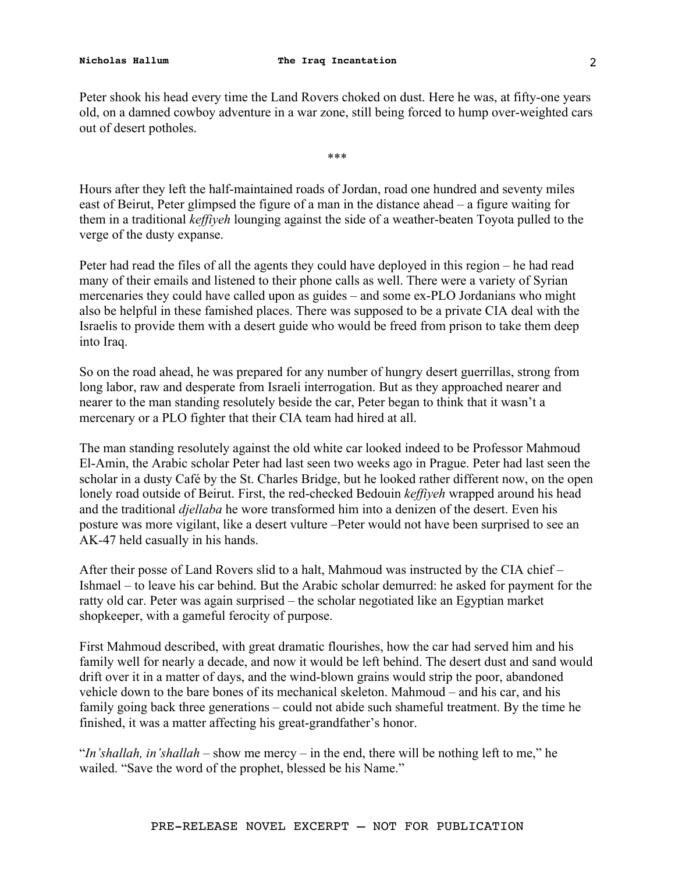Peter shook his head every time the Land Rovers choked on dust. Here he was, at fifty-one years old, on a damned cowboy adventure in a war zone, still being forced to hump over-weighted cars out of desert potholes.

\*\*\*

Hours after they left the half-maintained roads of Jordan, road one hundred and seventy miles east of Beirut, Peter glimpsed the figure of a man in the distance ahead – a figure waiting for them in a traditional *keffiyeh* lounging against the side of a weather-beaten Toyota pulled to the verge of the dusty expanse.

Peter had read the files of all the agents they could have deployed in this region – he had read many of their emails and listened to their phone calls as well. There were a variety of Syrian mercenaries they could have called upon as guides – and some ex-PLO Jordanians who might also be helpful in these famished places. There was supposed to be a private CIA deal with the Israelis to provide them with a desert guide who would be freed from prison to take them deep into Iraq.

So on the road ahead, he was prepared for any number of hungry desert guerrillas, strong from long labor, raw and desperate from Israeli interrogation. But as they approached nearer and nearer to the man standing resolutely beside the car, Peter began to think that it wasn't a mercenary or a PLO fighter that their CIA team had hired at all.

The man standing resolutely against the old white car looked indeed to be Professor Mahmoud El-Amin, the Arabic scholar Peter had last seen two weeks ago in Prague. Peter had last seen the scholar in a dusty Café by the St. Charles Bridge, but he looked rather different now, on the open lonely road outside of Beirut. First, the red-checked Bedouin *keffiyeh* wrapped around his head and the traditional *djellaba* he wore transformed him into a denizen of the desert. Even his posture was more vigilant, like a desert vulture –Peter would not have been surprised to see an AK-47 held casually in his hands.

After their posse of Land Rovers slid to a halt, Mahmoud was instructed by the CIA chief – Ishmael – to leave his car behind. But the Arabic scholar demurred: he asked for payment for the ratty old car. Peter was again surprised – the scholar negotiated like an Egyptian market shopkeeper, with a gameful ferocity of purpose.

First Mahmoud described, with great dramatic flourishes, how the car had served him and his family well for nearly a decade, and now it would be left behind. The desert dust and sand would drift over it in a matter of days, and the wind-blown grains would strip the poor, abandoned vehicle down to the bare bones of its mechanical skeleton. Mahmoud – and his car, and his family going back three generations – could not abide such shameful treatment. By the time he finished, it was a matter affecting his great-grandfather's honor.

"*In'shallah, in'shallah* – show me mercy – in the end, there will be nothing left to me," he wailed. "Save the word of the prophet, blessed be his Name."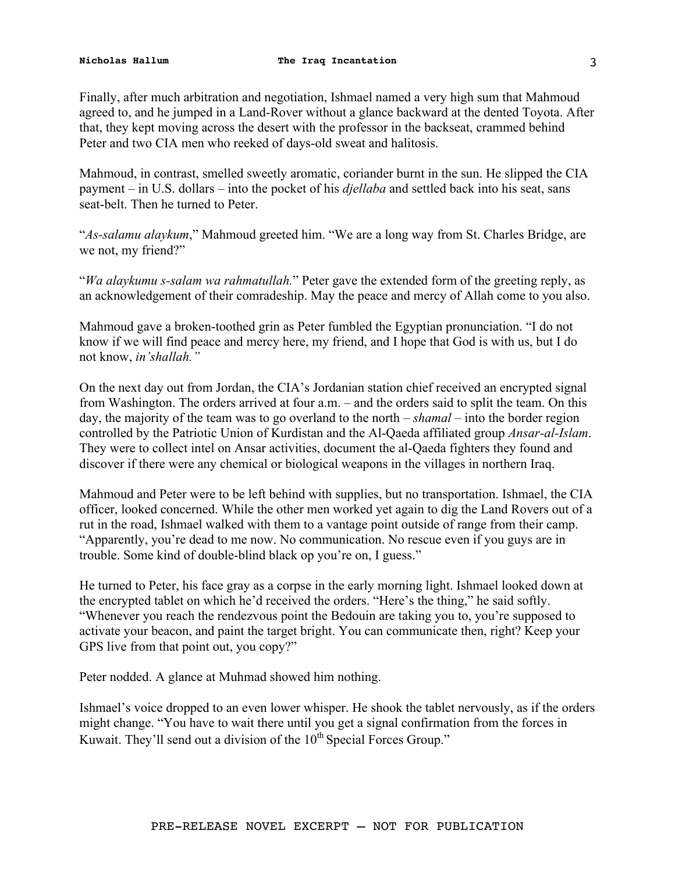Finally, after much arbitration and negotiation, Ishmael named a very high sum that Mahmoud agreed to, and he jumped in a Land-Rover without a glance backward at the dented Toyota. After that, they kept moving across the desert with the professor in the backseat, crammed behind Peter and two CIA men who reeked of days-old sweat and halitosis.

Mahmoud, in contrast, smelled sweetly aromatic, coriander burnt in the sun. He slipped the CIA payment – in U.S. dollars – into the pocket of his *djellaba* and settled back into his seat, sans seat-belt. Then he turned to Peter.

"*As-salamu alaykum*," Mahmoud greeted him. "We are a long way from St. Charles Bridge, are we not, my friend?"

"*Wa alaykumu s-salam wa rahmatullah.*" Peter gave the extended form of the greeting reply, as an acknowledgement of their comradeship. May the peace and mercy of Allah come to you also.

Mahmoud gave a broken-toothed grin as Peter fumbled the Egyptian pronunciation. "I do not know if we will find peace and mercy here, my friend, and I hope that God is with us, but I do not know, *in'shallah."* 

On the next day out from Jordan, the CIA's Jordanian station chief received an encrypted signal from Washington. The orders arrived at four a.m. – and the orders said to split the team. On this day, the majority of the team was to go overland to the north – *shamal* – into the border region controlled by the Patriotic Union of Kurdistan and the Al-Qaeda affiliated group *Ansar-al-Islam*. They were to collect intel on Ansar activities, document the al-Qaeda fighters they found and discover if there were any chemical or biological weapons in the villages in northern Iraq.

Mahmoud and Peter were to be left behind with supplies, but no transportation. Ishmael, the CIA officer, looked concerned. While the other men worked yet again to dig the Land Rovers out of a rut in the road, Ishmael walked with them to a vantage point outside of range from their camp. "Apparently, you're dead to me now. No communication. No rescue even if you guys are in trouble. Some kind of double-blind black op you're on, I guess."

He turned to Peter, his face gray as a corpse in the early morning light. Ishmael looked down at the encrypted tablet on which he'd received the orders. "Here's the thing," he said softly. "Whenever you reach the rendezvous point the Bedouin are taking you to, you're supposed to activate your beacon, and paint the target bright. You can communicate then, right? Keep your GPS live from that point out, you copy?"

Peter nodded. A glance at Muhmad showed him nothing.

Ishmael's voice dropped to an even lower whisper. He shook the tablet nervously, as if the orders might change. "You have to wait there until you get a signal confirmation from the forces in Kuwait. They'll send out a division of the  $10<sup>th</sup>$  Special Forces Group."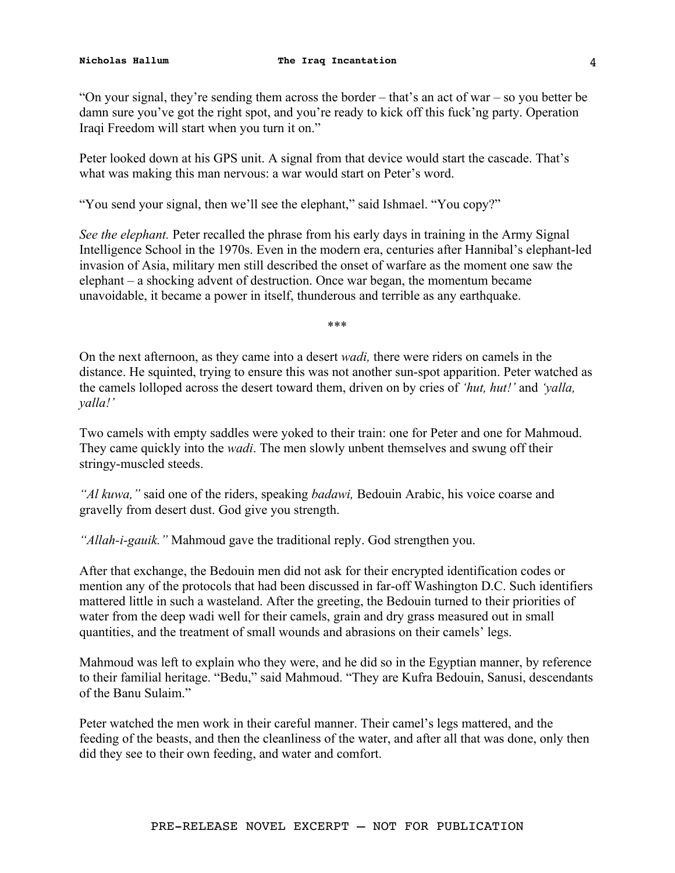"On your signal, they're sending them across the border – that's an act of war – so you better be damn sure you've got the right spot, and you're ready to kick off this fuck'ng party. Operation Iraqi Freedom will start when you turn it on."

Peter looked down at his GPS unit. A signal from that device would start the cascade. That's what was making this man nervous: a war would start on Peter's word.

"You send your signal, then we'll see the elephant," said Ishmael. "You copy?"

*See the elephant.* Peter recalled the phrase from his early days in training in the Army Signal Intelligence School in the 1970s. Even in the modern era, centuries after Hannibal's elephant-led invasion of Asia, military men still described the onset of warfare as the moment one saw the elephant – a shocking advent of destruction. Once war began, the momentum became unavoidable, it became a power in itself, thunderous and terrible as any earthquake.

\*\*\*

On the next afternoon, as they came into a desert *wadi,* there were riders on camels in the distance. He squinted, trying to ensure this was not another sun-spot apparition. Peter watched as the camels lolloped across the desert toward them, driven on by cries of *'hut, hut!'* and *'yalla, yalla!'* 

Two camels with empty saddles were yoked to their train: one for Peter and one for Mahmoud. They came quickly into the *wadi*. The men slowly unbent themselves and swung off their stringy-muscled steeds.

*"Al kuwa,"* said one of the riders, speaking *badawi,* Bedouin Arabic, his voice coarse and gravelly from desert dust. God give you strength.

*"Allah-i-gauik."* Mahmoud gave the traditional reply. God strengthen you.

After that exchange, the Bedouin men did not ask for their encrypted identification codes or mention any of the protocols that had been discussed in far-off Washington D.C. Such identifiers mattered little in such a wasteland. After the greeting, the Bedouin turned to their priorities of water from the deep wadi well for their camels, grain and dry grass measured out in small quantities, and the treatment of small wounds and abrasions on their camels' legs.

Mahmoud was left to explain who they were, and he did so in the Egyptian manner, by reference to their familial heritage. "Bedu," said Mahmoud. "They are Kufra Bedouin, Sanusi, descendants of the Banu Sulaim."

Peter watched the men work in their careful manner. Their camel's legs mattered, and the feeding of the beasts, and then the cleanliness of the water, and after all that was done, only then did they see to their own feeding, and water and comfort.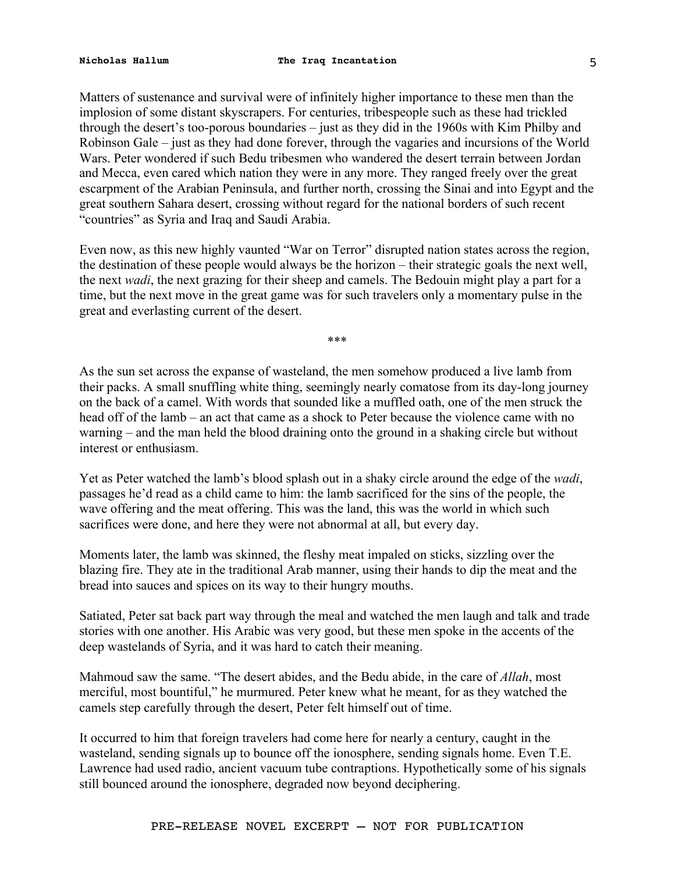Matters of sustenance and survival were of infinitely higher importance to these men than the implosion of some distant skyscrapers. For centuries, tribespeople such as these had trickled through the desert's too-porous boundaries – just as they did in the 1960s with Kim Philby and Robinson Gale – just as they had done forever, through the vagaries and incursions of the World Wars. Peter wondered if such Bedu tribesmen who wandered the desert terrain between Jordan and Mecca, even cared which nation they were in any more. They ranged freely over the great escarpment of the Arabian Peninsula, and further north, crossing the Sinai and into Egypt and the great southern Sahara desert, crossing without regard for the national borders of such recent "countries" as Syria and Iraq and Saudi Arabia.

Even now, as this new highly vaunted "War on Terror" disrupted nation states across the region, the destination of these people would always be the horizon – their strategic goals the next well, the next *wadi*, the next grazing for their sheep and camels. The Bedouin might play a part for a time, but the next move in the great game was for such travelers only a momentary pulse in the great and everlasting current of the desert.

\*\*\*

As the sun set across the expanse of wasteland, the men somehow produced a live lamb from their packs. A small snuffling white thing, seemingly nearly comatose from its day-long journey on the back of a camel. With words that sounded like a muffled oath, one of the men struck the head off of the lamb – an act that came as a shock to Peter because the violence came with no warning – and the man held the blood draining onto the ground in a shaking circle but without interest or enthusiasm.

Yet as Peter watched the lamb's blood splash out in a shaky circle around the edge of the *wadi*, passages he'd read as a child came to him: the lamb sacrificed for the sins of the people, the wave offering and the meat offering. This was the land, this was the world in which such sacrifices were done, and here they were not abnormal at all, but every day.

Moments later, the lamb was skinned, the fleshy meat impaled on sticks, sizzling over the blazing fire. They ate in the traditional Arab manner, using their hands to dip the meat and the bread into sauces and spices on its way to their hungry mouths.

Satiated, Peter sat back part way through the meal and watched the men laugh and talk and trade stories with one another. His Arabic was very good, but these men spoke in the accents of the deep wastelands of Syria, and it was hard to catch their meaning.

Mahmoud saw the same. "The desert abides, and the Bedu abide, in the care of *Allah*, most merciful, most bountiful," he murmured. Peter knew what he meant, for as they watched the camels step carefully through the desert, Peter felt himself out of time.

It occurred to him that foreign travelers had come here for nearly a century, caught in the wasteland, sending signals up to bounce off the ionosphere, sending signals home. Even T.E. Lawrence had used radio, ancient vacuum tube contraptions. Hypothetically some of his signals still bounced around the ionosphere, degraded now beyond deciphering.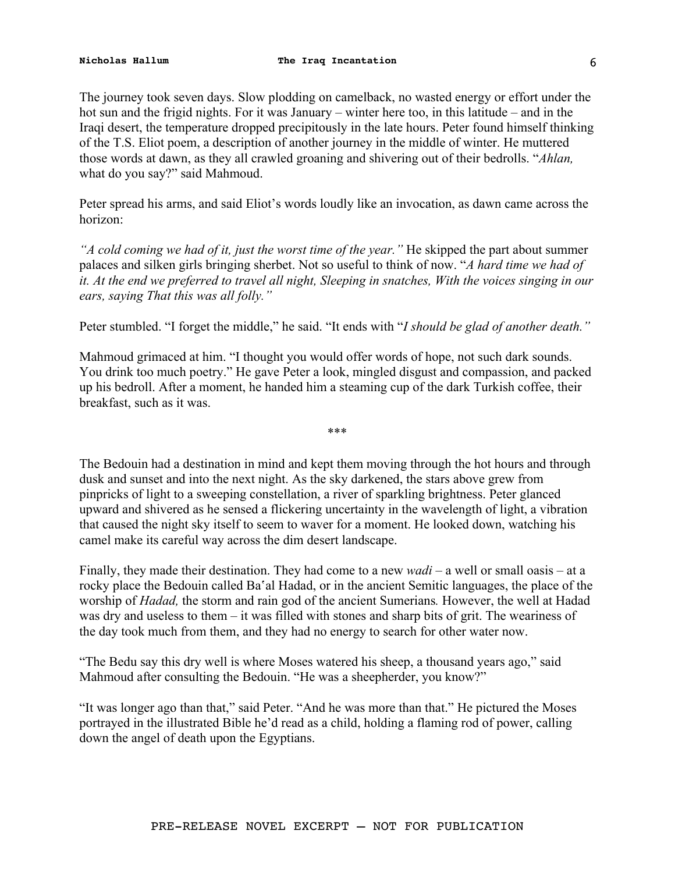The journey took seven days. Slow plodding on camelback, no wasted energy or effort under the hot sun and the frigid nights. For it was January – winter here too, in this latitude – and in the Iraqi desert, the temperature dropped precipitously in the late hours. Peter found himself thinking of the T.S. Eliot poem, a description of another journey in the middle of winter. He muttered those words at dawn, as they all crawled groaning and shivering out of their bedrolls. "*Ahlan,*  what do you say?" said Mahmoud.

Peter spread his arms, and said Eliot's words loudly like an invocation, as dawn came across the horizon:

*"A cold coming we had of it, just the worst time of the year."* He skipped the part about summer palaces and silken girls bringing sherbet. Not so useful to think of now. "*A hard time we had of it. At the end we preferred to travel all night, Sleeping in snatches, With the voices singing in our ears, saying That this was all folly."* 

Peter stumbled. "I forget the middle," he said. "It ends with "*I should be glad of another death."* 

Mahmoud grimaced at him. "I thought you would offer words of hope, not such dark sounds. You drink too much poetry." He gave Peter a look, mingled disgust and compassion, and packed up his bedroll. After a moment, he handed him a steaming cup of the dark Turkish coffee, their breakfast, such as it was.

\*\*\*

The Bedouin had a destination in mind and kept them moving through the hot hours and through dusk and sunset and into the next night. As the sky darkened, the stars above grew from pinpricks of light to a sweeping constellation, a river of sparkling brightness. Peter glanced upward and shivered as he sensed a flickering uncertainty in the wavelength of light, a vibration that caused the night sky itself to seem to waver for a moment. He looked down, watching his camel make its careful way across the dim desert landscape.

Finally, they made their destination. They had come to a new *wadi –* a well or small oasis – at a rocky place the Bedouin called Ba'al Hadad, or in the ancient Semitic languages, the place of the worship of *Hadad,* the storm and rain god of the ancient Sumerians*.* However, the well at Hadad was dry and useless to them – it was filled with stones and sharp bits of grit. The weariness of the day took much from them, and they had no energy to search for other water now.

"The Bedu say this dry well is where Moses watered his sheep, a thousand years ago," said Mahmoud after consulting the Bedouin. "He was a sheepherder, you know?"

"It was longer ago than that," said Peter. "And he was more than that." He pictured the Moses portrayed in the illustrated Bible he'd read as a child, holding a flaming rod of power, calling down the angel of death upon the Egyptians.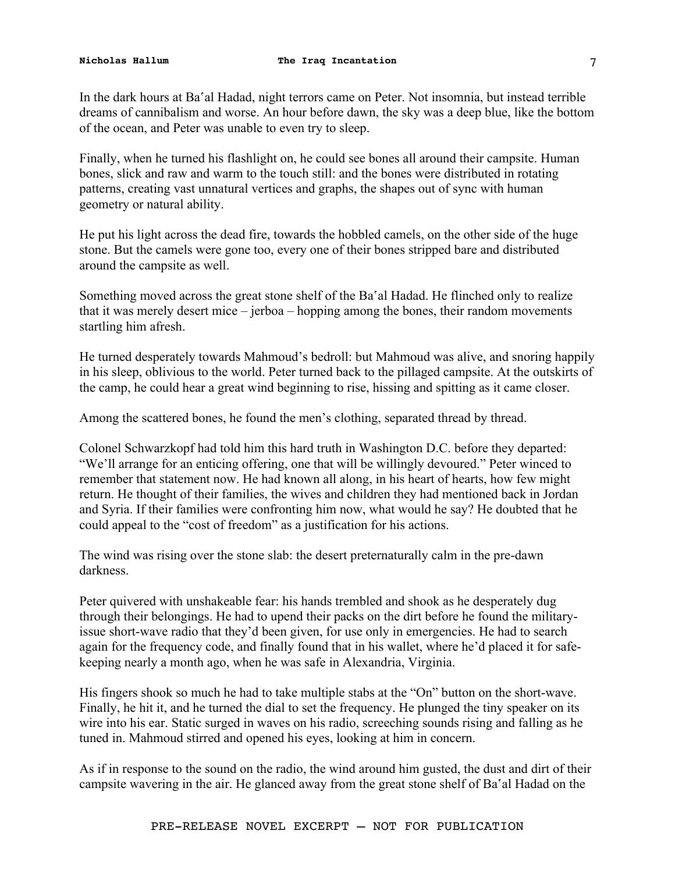In the dark hours at Ba'al Hadad, night terrors came on Peter. Not insomnia, but instead terrible dreams of cannibalism and worse. An hour before dawn, the sky was a deep blue, like the bottom of the ocean, and Peter was unable to even try to sleep.

Finally, when he turned his flashlight on, he could see bones all around their campsite. Human bones, slick and raw and warm to the touch still: and the bones were distributed in rotating patterns, creating vast unnatural vertices and graphs, the shapes out of sync with human geometry or natural ability.

He put his light across the dead fire, towards the hobbled camels, on the other side of the huge stone. But the camels were gone too, every one of their bones stripped bare and distributed around the campsite as well.

Something moved across the great stone shelf of the Ba'al Hadad. He flinched only to realize that it was merely desert mice – jerboa – hopping among the bones, their random movements startling him afresh.

He turned desperately towards Mahmoud's bedroll: but Mahmoud was alive, and snoring happily in his sleep, oblivious to the world. Peter turned back to the pillaged campsite. At the outskirts of the camp, he could hear a great wind beginning to rise, hissing and spitting as it came closer.

Among the scattered bones, he found the men's clothing, separated thread by thread.

Colonel Schwarzkopf had told him this hard truth in Washington D.C. before they departed: "We'll arrange for an enticing offering, one that will be willingly devoured." Peter winced to remember that statement now. He had known all along, in his heart of hearts, how few might return. He thought of their families, the wives and children they had mentioned back in Jordan and Syria. If their families were confronting him now, what would he say? He doubted that he could appeal to the "cost of freedom" as a justification for his actions.

The wind was rising over the stone slab: the desert preternaturally calm in the pre-dawn darkness.

Peter quivered with unshakeable fear: his hands trembled and shook as he desperately dug through their belongings. He had to upend their packs on the dirt before he found the militaryissue short-wave radio that they'd been given, for use only in emergencies. He had to search again for the frequency code, and finally found that in his wallet, where he'd placed it for safekeeping nearly a month ago, when he was safe in Alexandria, Virginia.

His fingers shook so much he had to take multiple stabs at the "On" button on the short-wave. Finally, he hit it, and he turned the dial to set the frequency. He plunged the tiny speaker on its wire into his ear. Static surged in waves on his radio, screeching sounds rising and falling as he tuned in. Mahmoud stirred and opened his eyes, looking at him in concern.

As if in response to the sound on the radio, the wind around him gusted, the dust and dirt of their campsite wavering in the air. He glanced away from the great stone shelf of Ba'al Hadad on the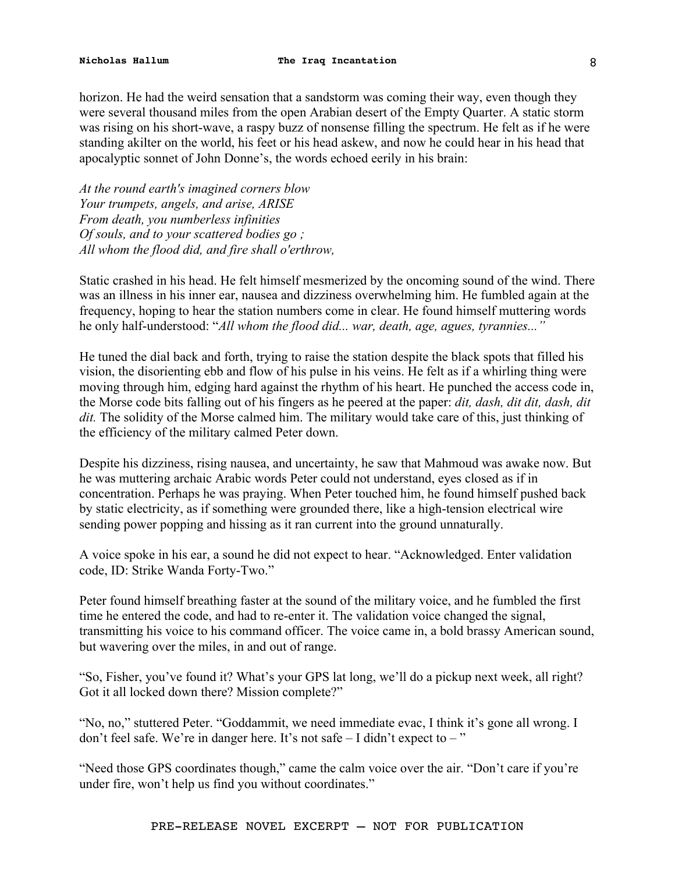horizon. He had the weird sensation that a sandstorm was coming their way, even though they were several thousand miles from the open Arabian desert of the Empty Quarter. A static storm was rising on his short-wave, a raspy buzz of nonsense filling the spectrum. He felt as if he were standing akilter on the world, his feet or his head askew, and now he could hear in his head that apocalyptic sonnet of John Donne's, the words echoed eerily in his brain:

*At the round earth's imagined corners blow Your trumpets, angels, and arise, ARISE From death, you numberless infinities Of souls, and to your scattered bodies go ; All whom the flood did, and fire shall o'erthrow,* 

Static crashed in his head. He felt himself mesmerized by the oncoming sound of the wind. There was an illness in his inner ear, nausea and dizziness overwhelming him. He fumbled again at the frequency, hoping to hear the station numbers come in clear. He found himself muttering words he only half-understood: "*All whom the flood did... war, death, age, agues, tyrannies..."* 

He tuned the dial back and forth, trying to raise the station despite the black spots that filled his vision, the disorienting ebb and flow of his pulse in his veins. He felt as if a whirling thing were moving through him, edging hard against the rhythm of his heart. He punched the access code in, the Morse code bits falling out of his fingers as he peered at the paper: *dit, dash, dit dit, dash, dit dit.* The solidity of the Morse calmed him. The military would take care of this, just thinking of the efficiency of the military calmed Peter down.

Despite his dizziness, rising nausea, and uncertainty, he saw that Mahmoud was awake now. But he was muttering archaic Arabic words Peter could not understand, eyes closed as if in concentration. Perhaps he was praying. When Peter touched him, he found himself pushed back by static electricity, as if something were grounded there, like a high-tension electrical wire sending power popping and hissing as it ran current into the ground unnaturally.

A voice spoke in his ear, a sound he did not expect to hear. "Acknowledged. Enter validation code, ID: Strike Wanda Forty-Two."

Peter found himself breathing faster at the sound of the military voice, and he fumbled the first time he entered the code, and had to re-enter it. The validation voice changed the signal, transmitting his voice to his command officer. The voice came in, a bold brassy American sound, but wavering over the miles, in and out of range.

"So, Fisher, you've found it? What's your GPS lat long, we'll do a pickup next week, all right? Got it all locked down there? Mission complete?"

"No, no," stuttered Peter. "Goddammit, we need immediate evac, I think it's gone all wrong. I don't feel safe. We're in danger here. It's not safe  $-1$  didn't expect to  $-$ "

"Need those GPS coordinates though," came the calm voice over the air. "Don't care if you're under fire, won't help us find you without coordinates."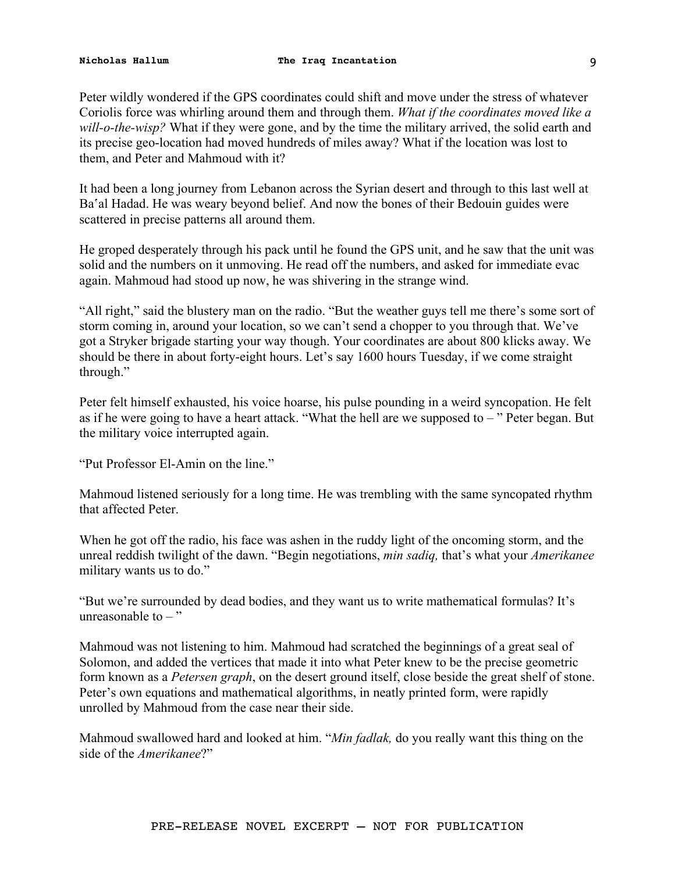Peter wildly wondered if the GPS coordinates could shift and move under the stress of whatever Coriolis force was whirling around them and through them. *What if the coordinates moved like a will-o-the-wisp?* What if they were gone, and by the time the military arrived, the solid earth and its precise geo-location had moved hundreds of miles away? What if the location was lost to them, and Peter and Mahmoud with it?

It had been a long journey from Lebanon across the Syrian desert and through to this last well at Ba'al Hadad. He was weary beyond belief. And now the bones of their Bedouin guides were scattered in precise patterns all around them.

He groped desperately through his pack until he found the GPS unit, and he saw that the unit was solid and the numbers on it unmoving. He read off the numbers, and asked for immediate evac again. Mahmoud had stood up now, he was shivering in the strange wind.

"All right," said the blustery man on the radio. "But the weather guys tell me there's some sort of storm coming in, around your location, so we can't send a chopper to you through that. We've got a Stryker brigade starting your way though. Your coordinates are about 800 klicks away. We should be there in about forty-eight hours. Let's say 1600 hours Tuesday, if we come straight through."

Peter felt himself exhausted, his voice hoarse, his pulse pounding in a weird syncopation. He felt as if he were going to have a heart attack. "What the hell are we supposed to – " Peter began. But the military voice interrupted again.

"Put Professor El-Amin on the line."

Mahmoud listened seriously for a long time. He was trembling with the same syncopated rhythm that affected Peter.

When he got off the radio, his face was ashen in the ruddy light of the oncoming storm, and the unreal reddish twilight of the dawn. "Begin negotiations, *min sadiq,* that's what your *Amerikanee*  military wants us to do."

"But we're surrounded by dead bodies, and they want us to write mathematical formulas? It's unreasonable to  $-$  "

Mahmoud was not listening to him. Mahmoud had scratched the beginnings of a great seal of Solomon, and added the vertices that made it into what Peter knew to be the precise geometric form known as a *Petersen graph*, on the desert ground itself, close beside the great shelf of stone. Peter's own equations and mathematical algorithms, in neatly printed form, were rapidly unrolled by Mahmoud from the case near their side.

Mahmoud swallowed hard and looked at him. "*Min fadlak,* do you really want this thing on the side of the *Amerikanee*?"

PRE-RELEASE NOVEL EXCERPT – NOT FOR PUBLICATION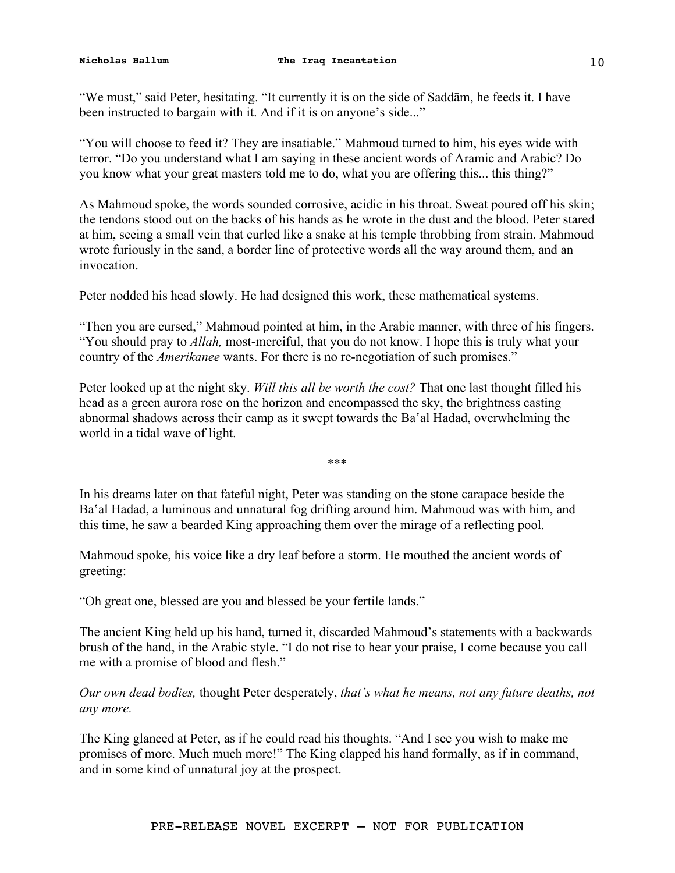"We must," said Peter, hesitating. "It currently it is on the side of Saddām, he feeds it. I have been instructed to bargain with it. And if it is on anyone's side..."

"You will choose to feed it? They are insatiable." Mahmoud turned to him, his eyes wide with terror. "Do you understand what I am saying in these ancient words of Aramic and Arabic? Do you know what your great masters told me to do, what you are offering this... this thing?"

As Mahmoud spoke, the words sounded corrosive, acidic in his throat. Sweat poured off his skin; the tendons stood out on the backs of his hands as he wrote in the dust and the blood. Peter stared at him, seeing a small vein that curled like a snake at his temple throbbing from strain. Mahmoud wrote furiously in the sand, a border line of protective words all the way around them, and an invocation.

Peter nodded his head slowly. He had designed this work, these mathematical systems.

"Then you are cursed," Mahmoud pointed at him, in the Arabic manner, with three of his fingers. "You should pray to *Allah,* most-merciful, that you do not know. I hope this is truly what your country of the *Amerikanee* wants. For there is no re-negotiation of such promises."

Peter looked up at the night sky. *Will this all be worth the cost?* That one last thought filled his head as a green aurora rose on the horizon and encompassed the sky, the brightness casting abnormal shadows across their camp as it swept towards the Ba'al Hadad, overwhelming the world in a tidal wave of light.

\*\*\*

In his dreams later on that fateful night, Peter was standing on the stone carapace beside the Ba'al Hadad, a luminous and unnatural fog drifting around him. Mahmoud was with him, and this time, he saw a bearded King approaching them over the mirage of a reflecting pool.

Mahmoud spoke, his voice like a dry leaf before a storm. He mouthed the ancient words of greeting:

"Oh great one, blessed are you and blessed be your fertile lands."

The ancient King held up his hand, turned it, discarded Mahmoud's statements with a backwards brush of the hand, in the Arabic style. "I do not rise to hear your praise, I come because you call me with a promise of blood and flesh."

*Our own dead bodies,* thought Peter desperately, *that's what he means, not any future deaths, not any more.* 

The King glanced at Peter, as if he could read his thoughts. "And I see you wish to make me promises of more. Much much more!" The King clapped his hand formally, as if in command, and in some kind of unnatural joy at the prospect.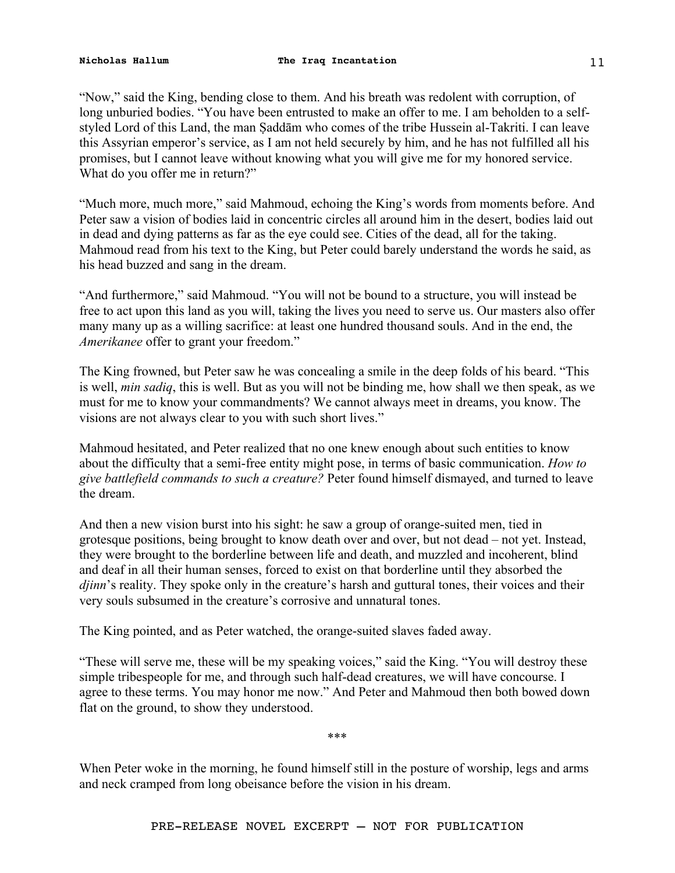"Now," said the King, bending close to them. And his breath was redolent with corruption, of long unburied bodies. "You have been entrusted to make an offer to me. I am beholden to a selfstyled Lord of this Land, the man Ṣaddām who comes of the tribe Hussein al-Takriti. I can leave this Assyrian emperor's service, as I am not held securely by him, and he has not fulfilled all his promises, but I cannot leave without knowing what you will give me for my honored service. What do you offer me in return?"

"Much more, much more," said Mahmoud, echoing the King's words from moments before. And Peter saw a vision of bodies laid in concentric circles all around him in the desert, bodies laid out in dead and dying patterns as far as the eye could see. Cities of the dead, all for the taking. Mahmoud read from his text to the King, but Peter could barely understand the words he said, as his head buzzed and sang in the dream.

"And furthermore," said Mahmoud. "You will not be bound to a structure, you will instead be free to act upon this land as you will, taking the lives you need to serve us. Our masters also offer many many up as a willing sacrifice: at least one hundred thousand souls. And in the end, the *Amerikanee* offer to grant your freedom."

The King frowned, but Peter saw he was concealing a smile in the deep folds of his beard. "This is well, *min sadiq*, this is well. But as you will not be binding me, how shall we then speak, as we must for me to know your commandments? We cannot always meet in dreams, you know. The visions are not always clear to you with such short lives."

Mahmoud hesitated, and Peter realized that no one knew enough about such entities to know about the difficulty that a semi-free entity might pose, in terms of basic communication. *How to give battlefield commands to such a creature?* Peter found himself dismayed, and turned to leave the dream.

And then a new vision burst into his sight: he saw a group of orange-suited men, tied in grotesque positions, being brought to know death over and over, but not dead – not yet. Instead, they were brought to the borderline between life and death, and muzzled and incoherent, blind and deaf in all their human senses, forced to exist on that borderline until they absorbed the *djinn*'s reality. They spoke only in the creature's harsh and guttural tones, their voices and their very souls subsumed in the creature's corrosive and unnatural tones.

The King pointed, and as Peter watched, the orange-suited slaves faded away.

"These will serve me, these will be my speaking voices," said the King. "You will destroy these simple tribespeople for me, and through such half-dead creatures, we will have concourse. I agree to these terms. You may honor me now." And Peter and Mahmoud then both bowed down flat on the ground, to show they understood.

\*\*\*

When Peter woke in the morning, he found himself still in the posture of worship, legs and arms and neck cramped from long obeisance before the vision in his dream.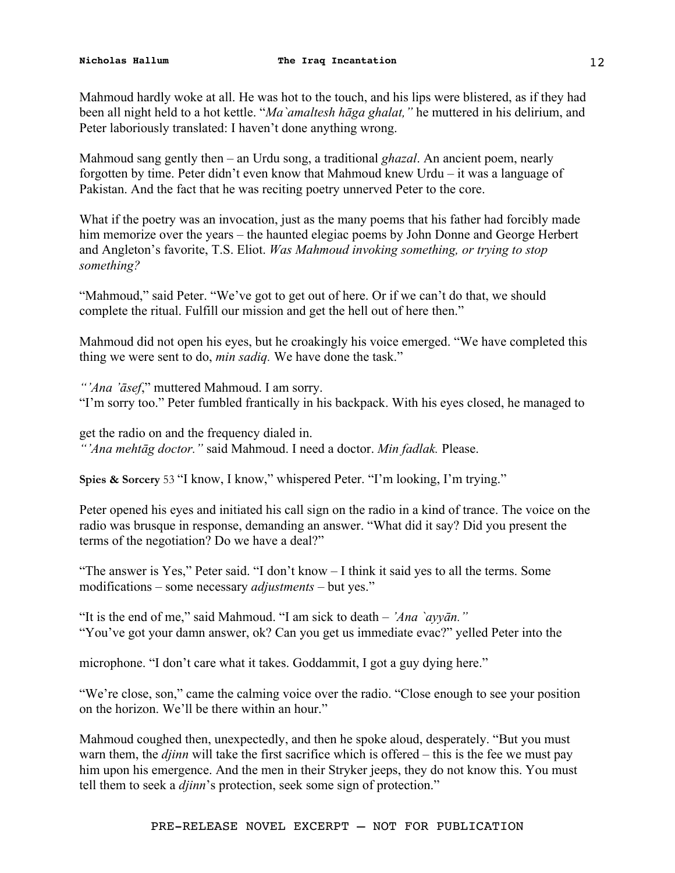Mahmoud hardly woke at all. He was hot to the touch, and his lips were blistered, as if they had been all night held to a hot kettle. "*Ma`amaltesh hāga ghalat,"* he muttered in his delirium, and Peter laboriously translated: I haven't done anything wrong.

Mahmoud sang gently then – an Urdu song, a traditional *ghazal*. An ancient poem, nearly forgotten by time. Peter didn't even know that Mahmoud knew Urdu – it was a language of Pakistan. And the fact that he was reciting poetry unnerved Peter to the core.

What if the poetry was an invocation, just as the many poems that his father had forcibly made him memorize over the years – the haunted elegiac poems by John Donne and George Herbert and Angleton's favorite, T.S. Eliot. *Was Mahmoud invoking something, or trying to stop something?* 

"Mahmoud," said Peter. "We've got to get out of here. Or if we can't do that, we should complete the ritual. Fulfill our mission and get the hell out of here then."

Mahmoud did not open his eyes, but he croakingly his voice emerged. "We have completed this thing we were sent to do, *min sadiq.* We have done the task."

*"'Ana 'āsef*," muttered Mahmoud. I am sorry. "I'm sorry too." Peter fumbled frantically in his backpack. With his eyes closed, he managed to

get the radio on and the frequency dialed in. *"'Ana mehtāg doctor."* said Mahmoud. I need a doctor. *Min fadlak.* Please.

**Spies & Sorcery** 53 "I know, I know," whispered Peter. "I'm looking, I'm trying."

Peter opened his eyes and initiated his call sign on the radio in a kind of trance. The voice on the radio was brusque in response, demanding an answer. "What did it say? Did you present the terms of the negotiation? Do we have a deal?"

"The answer is Yes," Peter said. "I don't know – I think it said yes to all the terms. Some modifications – some necessary *adjustments –* but yes."

"It is the end of me," said Mahmoud. "I am sick to death – *'Ana `ayyān."* "You've got your damn answer, ok? Can you get us immediate evac?" yelled Peter into the

microphone. "I don't care what it takes. Goddammit, I got a guy dying here."

"We're close, son," came the calming voice over the radio. "Close enough to see your position on the horizon. We'll be there within an hour."

Mahmoud coughed then, unexpectedly, and then he spoke aloud, desperately. "But you must warn them, the *djinn* will take the first sacrifice which is offered – this is the fee we must pay him upon his emergence. And the men in their Stryker jeeps, they do not know this. You must tell them to seek a *djinn*'s protection, seek some sign of protection."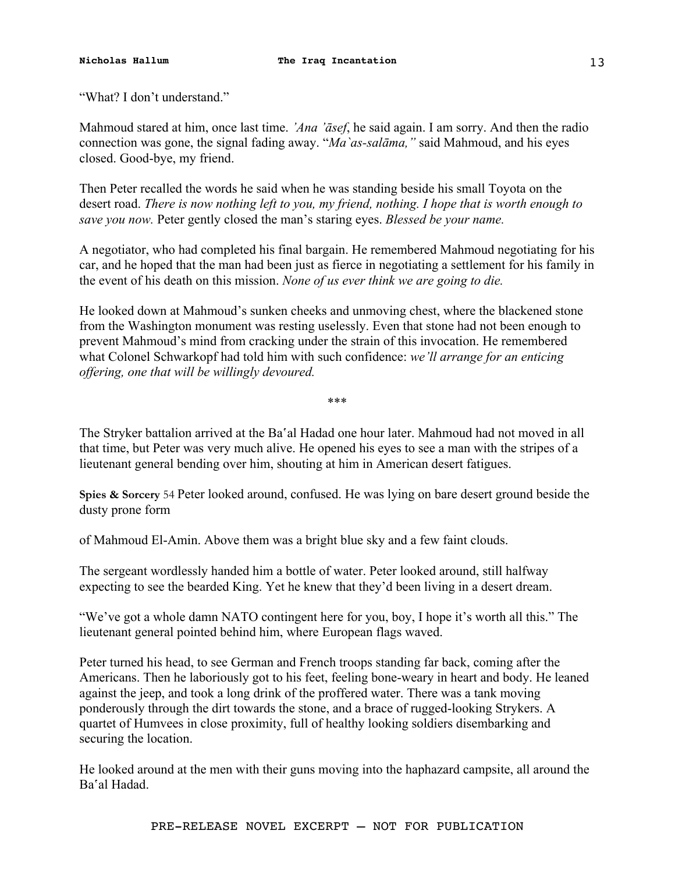Mahmoud stared at him, once last time. *'Ana 'āsef*, he said again. I am sorry. And then the radio connection was gone, the signal fading away. "*Ma`as-salāma,"* said Mahmoud, and his eyes closed. Good-bye, my friend.

Then Peter recalled the words he said when he was standing beside his small Toyota on the desert road. *There is now nothing left to you, my friend, nothing. I hope that is worth enough to save you now.* Peter gently closed the man's staring eyes. *Blessed be your name.* 

A negotiator, who had completed his final bargain. He remembered Mahmoud negotiating for his car, and he hoped that the man had been just as fierce in negotiating a settlement for his family in the event of his death on this mission. *None of us ever think we are going to die.* 

He looked down at Mahmoud's sunken cheeks and unmoving chest, where the blackened stone from the Washington monument was resting uselessly. Even that stone had not been enough to prevent Mahmoud's mind from cracking under the strain of this invocation. He remembered what Colonel Schwarkopf had told him with such confidence: *we'll arrange for an enticing offering, one that will be willingly devoured.* 

\*\*\*

The Stryker battalion arrived at the Ba'al Hadad one hour later. Mahmoud had not moved in all that time, but Peter was very much alive. He opened his eyes to see a man with the stripes of a lieutenant general bending over him, shouting at him in American desert fatigues.

**Spies & Sorcery** 54 Peter looked around, confused. He was lying on bare desert ground beside the dusty prone form

of Mahmoud El-Amin. Above them was a bright blue sky and a few faint clouds.

The sergeant wordlessly handed him a bottle of water. Peter looked around, still halfway expecting to see the bearded King. Yet he knew that they'd been living in a desert dream.

"We've got a whole damn NATO contingent here for you, boy, I hope it's worth all this." The lieutenant general pointed behind him, where European flags waved.

Peter turned his head, to see German and French troops standing far back, coming after the Americans. Then he laboriously got to his feet, feeling bone-weary in heart and body. He leaned against the jeep, and took a long drink of the proffered water. There was a tank moving ponderously through the dirt towards the stone, and a brace of rugged-looking Strykers. A quartet of Humvees in close proximity, full of healthy looking soldiers disembarking and securing the location.

He looked around at the men with their guns moving into the haphazard campsite, all around the Ba'al Hadad.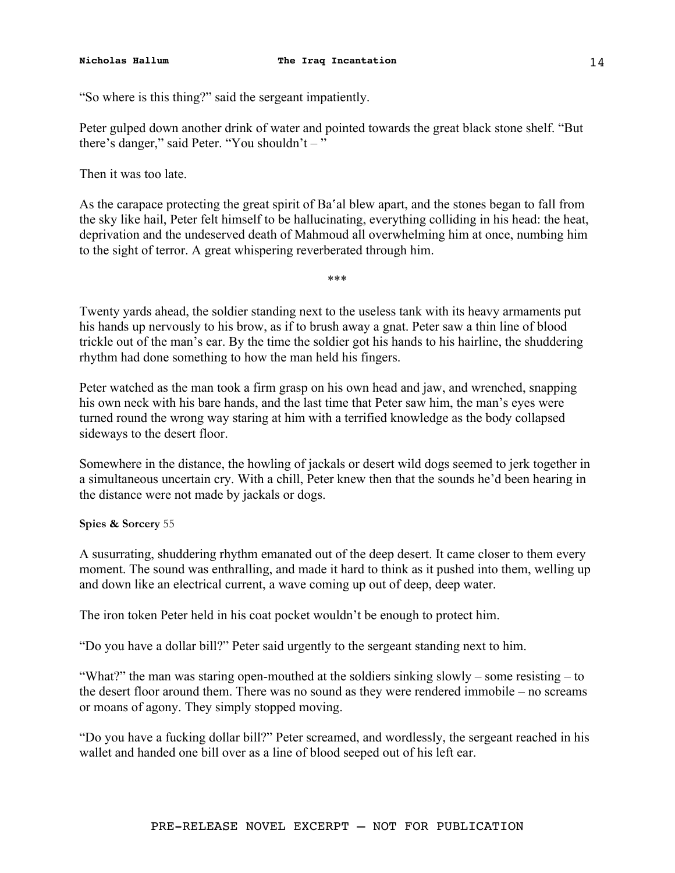"So where is this thing?" said the sergeant impatiently.

Peter gulped down another drink of water and pointed towards the great black stone shelf. "But there's danger," said Peter. "You shouldn't – "

Then it was too late.

As the carapace protecting the great spirit of Ba'al blew apart, and the stones began to fall from the sky like hail, Peter felt himself to be hallucinating, everything colliding in his head: the heat, deprivation and the undeserved death of Mahmoud all overwhelming him at once, numbing him to the sight of terror. A great whispering reverberated through him.

\*\*\*

Twenty yards ahead, the soldier standing next to the useless tank with its heavy armaments put his hands up nervously to his brow, as if to brush away a gnat. Peter saw a thin line of blood trickle out of the man's ear. By the time the soldier got his hands to his hairline, the shuddering rhythm had done something to how the man held his fingers.

Peter watched as the man took a firm grasp on his own head and jaw, and wrenched, snapping his own neck with his bare hands, and the last time that Peter saw him, the man's eyes were turned round the wrong way staring at him with a terrified knowledge as the body collapsed sideways to the desert floor.

Somewhere in the distance, the howling of jackals or desert wild dogs seemed to jerk together in a simultaneous uncertain cry. With a chill, Peter knew then that the sounds he'd been hearing in the distance were not made by jackals or dogs.

**Spies & Sorcery** 55

A susurrating, shuddering rhythm emanated out of the deep desert. It came closer to them every moment. The sound was enthralling, and made it hard to think as it pushed into them, welling up and down like an electrical current, a wave coming up out of deep, deep water.

The iron token Peter held in his coat pocket wouldn't be enough to protect him.

"Do you have a dollar bill?" Peter said urgently to the sergeant standing next to him.

"What?" the man was staring open-mouthed at the soldiers sinking slowly – some resisting – to the desert floor around them. There was no sound as they were rendered immobile – no screams or moans of agony. They simply stopped moving.

"Do you have a fucking dollar bill?" Peter screamed, and wordlessly, the sergeant reached in his wallet and handed one bill over as a line of blood seeped out of his left ear.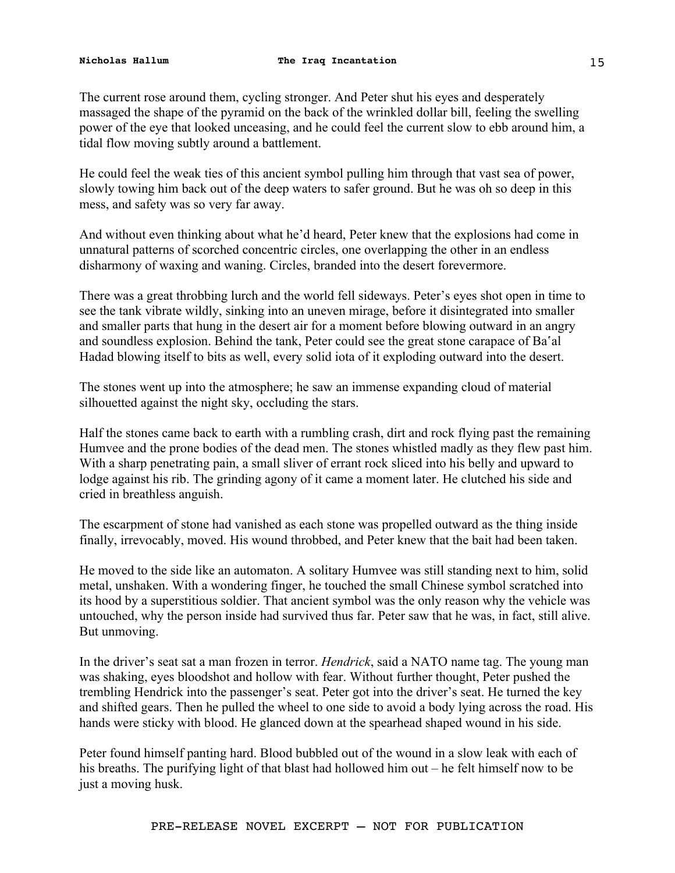The current rose around them, cycling stronger. And Peter shut his eyes and desperately massaged the shape of the pyramid on the back of the wrinkled dollar bill, feeling the swelling power of the eye that looked unceasing, and he could feel the current slow to ebb around him, a tidal flow moving subtly around a battlement.

He could feel the weak ties of this ancient symbol pulling him through that vast sea of power, slowly towing him back out of the deep waters to safer ground. But he was oh so deep in this mess, and safety was so very far away.

And without even thinking about what he'd heard, Peter knew that the explosions had come in unnatural patterns of scorched concentric circles, one overlapping the other in an endless disharmony of waxing and waning. Circles, branded into the desert forevermore.

There was a great throbbing lurch and the world fell sideways. Peter's eyes shot open in time to see the tank vibrate wildly, sinking into an uneven mirage, before it disintegrated into smaller and smaller parts that hung in the desert air for a moment before blowing outward in an angry and soundless explosion. Behind the tank, Peter could see the great stone carapace of Ba'al Hadad blowing itself to bits as well, every solid iota of it exploding outward into the desert.

The stones went up into the atmosphere; he saw an immense expanding cloud of material silhouetted against the night sky, occluding the stars.

Half the stones came back to earth with a rumbling crash, dirt and rock flying past the remaining Humvee and the prone bodies of the dead men. The stones whistled madly as they flew past him. With a sharp penetrating pain, a small sliver of errant rock sliced into his belly and upward to lodge against his rib. The grinding agony of it came a moment later. He clutched his side and cried in breathless anguish.

The escarpment of stone had vanished as each stone was propelled outward as the thing inside finally, irrevocably, moved. His wound throbbed, and Peter knew that the bait had been taken.

He moved to the side like an automaton. A solitary Humvee was still standing next to him, solid metal, unshaken. With a wondering finger, he touched the small Chinese symbol scratched into its hood by a superstitious soldier. That ancient symbol was the only reason why the vehicle was untouched, why the person inside had survived thus far. Peter saw that he was, in fact, still alive. But unmoving.

In the driver's seat sat a man frozen in terror. *Hendrick*, said a NATO name tag. The young man was shaking, eyes bloodshot and hollow with fear. Without further thought, Peter pushed the trembling Hendrick into the passenger's seat. Peter got into the driver's seat. He turned the key and shifted gears. Then he pulled the wheel to one side to avoid a body lying across the road. His hands were sticky with blood. He glanced down at the spearhead shaped wound in his side.

Peter found himself panting hard. Blood bubbled out of the wound in a slow leak with each of his breaths. The purifying light of that blast had hollowed him out – he felt himself now to be just a moving husk.